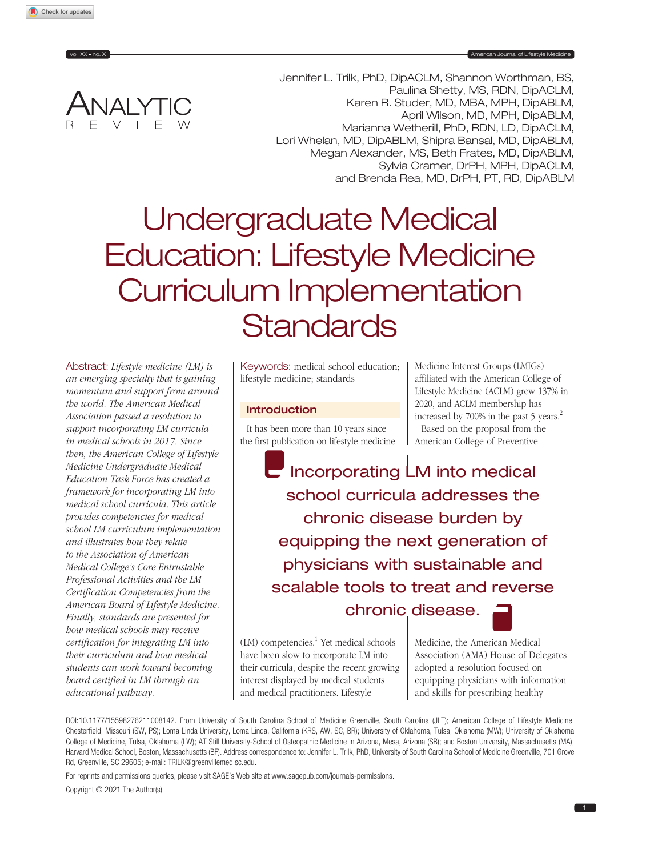

Jennifer L. Trilk, PhD, DipACLM, Shannon Worthman, BS, Paulina Shetty, MS, RDN, DipACLM, Karen R. Studer, MD, MBA, MPH, DipABLM, April Wilson, MD, MPH, DipABLM, Marianna Wetherill, PhD, RDN, LD, DipACLM, Lori Whelan, MD, DipABLM, Shipra Bansal, MD, DipABLM, Megan Alexander, MS, Beth Frates, MD, DipABLM, Sylvia Cramer, DrPH, MPH, DipACLM, and Brenda Rea, MD, DrPH, PT, RD, DipABLM

# Undergraduate Medical Education: Lifestyle Medicine Curriculum Implementation **Standards**

Abstract: *Lifestyle medicine (LM) is an emerging specialty that is gaining momentum and support from around the world. The American Medical Association passed a resolution to support incorporating LM curricula in medical schools in 2017. Since then, the American College of Lifestyle Medicine Undergraduate Medical Education Task Force has created a framework for incorporating LM into medical school curricula. This article provides competencies for medical school LM curriculum implementation and illustrates how they relate to the Association of American Medical College's Core Entrustable Professional Activities and the LM Certification Competencies from the American Board of Lifestyle Medicine. Finally, standards are presented for how medical schools may receive certification for integrating LM into their curriculum and how medical students can work toward becoming board certified in LM through an educational pathway.*

Keywords: medical school education; lifestyle medicine; standards

## Introduction

It has been more than 10 years since the first publication on lifestyle medicine

Medicine Interest Groups (LMIGs) affiliated with the American College of Lifestyle Medicine (ACLM) grew 137% in 2020, and ACLM membership has increased by 700% in the past 5 years.<sup>2</sup> Based on the proposal from the American College of Preventive

 $\blacksquare$  Incorporating  $\blacksquare$  Into medical school curricula addresses the chronic disease burden by equipping the next generation of physicians with sustainable and scalable tools to treat and reverse chronic disease.

(LM) competencies.<sup>1</sup> Yet medical schools have been slow to incorporate LM into their curricula, despite the recent growing interest displayed by medical students and medical practitioners. Lifestyle

Medicine, the American Medical Association (AMA) House of Delegates adopted a resolution focused on equipping physicians with information and skills for prescribing healthy

DOI[:](http://doi.org/10.1177/15598276211008142)10.1177/15598276211008142. From University of South Carolina School of Medicine Greenville, South Carolina (JLT); American College of Lifestyle Medicine, Chesterfield, Missouri (SW, PS); Loma Linda University, Loma Linda, California (KRS, AW, SC, BR); University of Oklahoma, Tulsa, Oklahoma (MW); University of Oklahoma College of Medicine, Tulsa, Oklahoma (LW); AT Still University-School of Osteopathic Medicine in Arizona, Mesa, Arizona (SB); and Boston University, Massachusetts (MA); Harvard Medical School, Boston, Massachusetts (BF). Address correspondence to: Jennifer L. Trilk, PhD, University of South Carolina School of Medicine Greenville, 701 Grove Rd, Greenville, SC 29605; e-mail: [TRILK@greenvillemed.sc.edu](mailto:TRILK@greenvillemed.sc.edu).

For reprints and permissions queries, please visit SAGE's Web site at [www.sagepub.com/journals-permissions](https://www.sagepub.com/journals-permissions).

Copyright © 2021 The Author(s)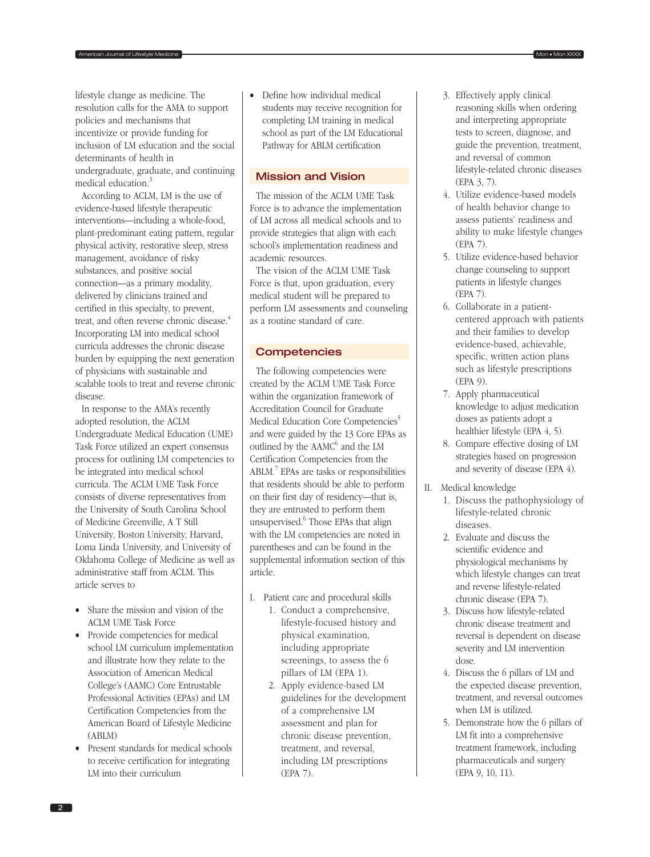lifestyle change as medicine. The resolution calls for the AMA to support policies and mechanisms that incentivize or provide funding for inclusion of LM education and the social determinants of health in undergraduate, graduate, and continuing medical education.<sup>3</sup>

According to ACLM, LM is the use of evidence-based lifestyle therapeutic interventions—including a whole-food, plant-predominant eating pattern, regular physical activity, restorative sleep, stress management, avoidance of risky substances, and positive social connection—as a primary modality, delivered by clinicians trained and certified in this specialty, to prevent, treat, and often reverse chronic disease.<sup>4</sup> Incorporating LM into medical school curricula addresses the chronic disease burden by equipping the next generation of physicians with sustainable and scalable tools to treat and reverse chronic disease.

In response to the AMA's recently adopted resolution, the ACLM Undergraduate Medical Education (UME) Task Force utilized an expert consensus process for outlining LM competencies to be integrated into medical school curricula. The ACLM UME Task Force consists of diverse representatives from the University of South Carolina School of Medicine Greenville, A T Still University, Boston University, Harvard, Loma Linda University, and University of Oklahoma College of Medicine as well as administrative staff from ACLM. This article serves to

- Share the mission and vision of the ACLM UME Task Force
- Provide competencies for medical school LM curriculum implementation and illustrate how they relate to the Association of American Medical College's (AAMC) Core Entrustable Professional Activities (EPAs) and LM Certification Competencies from the American Board of Lifestyle Medicine (ABLM)
- Present standards for medical schools to receive certification for integrating LM into their curriculum

• Define how individual medical students may receive recognition for completing LM training in medical school as part of the LM Educational Pathway for ABLM certification

American Journal of Lifestyle Medicine **Montana Contract Contract Contract Contract Contract Contract Contract Contract Contract Contract Contract Contract Contract Contract Contract Contract Contract Contract Contract Con** 

## Mission and Vision

The mission of the ACLM UME Task Force is to advance the implementation of LM across all medical schools and to provide strategies that align with each school's implementation readiness and academic resources.

The vision of the ACLM UME Task Force is that, upon graduation, every medical student will be prepared to perform LM assessments and counseling as a routine standard of care.

## **Competencies**

The following competencies were created by the ACLM UME Task Force within the organization framework of Accreditation Council for Graduate Medical Education Core Competencies<sup>5</sup> and were guided by the 13 Core EPAs as outlined by the AAMC<sup>6</sup> and the LM Certification Competencies from the ABLM.<sup>7</sup> EPAs are tasks or responsibilities that residents should be able to perform on their first day of residency—that is, they are entrusted to perform them unsupervised.<sup>6</sup> Those EPAs that align with the LM competencies are noted in parentheses and can be found in the supplemental information section of this article.

- I. Patient care and procedural skills
	- 1. Conduct a comprehensive, lifestyle-focused history and physical examination, including appropriate screenings, to assess the 6 pillars of LM (EPA 1).
	- 2. Apply evidence-based LM guidelines for the development of a comprehensive LM assessment and plan for chronic disease prevention, treatment, and reversal, including LM prescriptions (EPA 7).
- 3. Effectively apply clinical reasoning skills when ordering and interpreting appropriate tests to screen, diagnose, and guide the prevention, treatment, and reversal of common lifestyle-related chronic diseases (EPA 3, 7).
- 4. Utilize evidence-based models of health behavior change to assess patients' readiness and ability to make lifestyle changes (EPA 7).
- 5. Utilize evidence-based behavior change counseling to support patients in lifestyle changes (EPA 7).
- 6. Collaborate in a patientcentered approach with patients and their families to develop evidence-based, achievable, specific, written action plans such as lifestyle prescriptions (EPA 9).
- 7. Apply pharmaceutical knowledge to adjust medication doses as patients adopt a healthier lifestyle (EPA 4, 5).
- 8. Compare effective dosing of LM strategies based on progression and severity of disease (EPA 4).
- II. Medical knowledge
	- 1. Discuss the pathophysiology of lifestyle-related chronic diseases.
	- 2. Evaluate and discuss the scientific evidence and physiological mechanisms by which lifestyle changes can treat and reverse lifestyle-related chronic disease (EPA 7).
	- 3. Discuss how lifestyle-related chronic disease treatment and reversal is dependent on disease severity and LM intervention dose.
	- 4. Discuss the 6 pillars of LM and the expected disease prevention, treatment, and reversal outcomes when LM is utilized.
	- 5. Demonstrate how the 6 pillars of LM fit into a comprehensive treatment framework, including pharmaceuticals and surgery (EPA 9, 10, 11).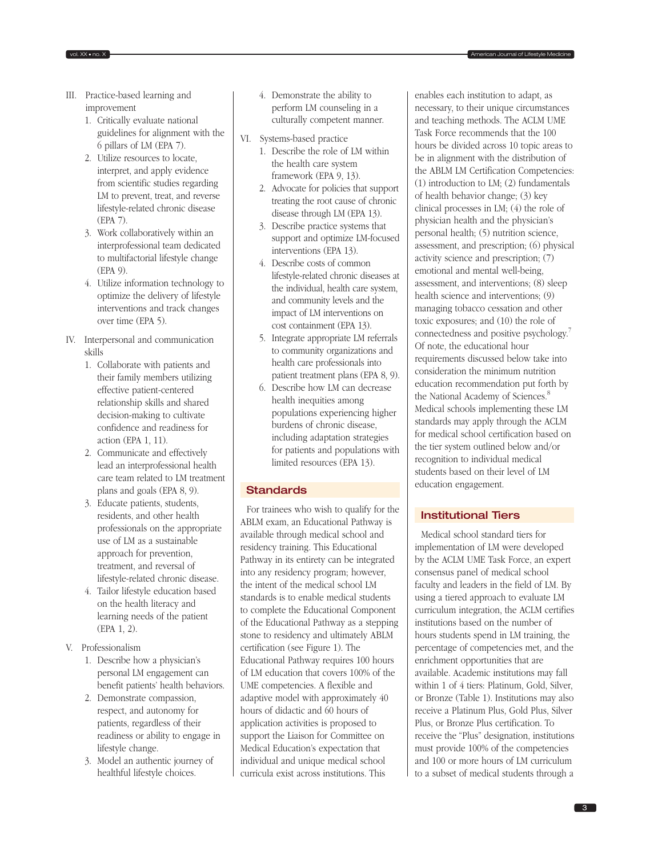- III. Practice-based learning and improvement
	- 1. Critically evaluate national guidelines for alignment with the 6 pillars of LM (EPA 7).
	- 2. Utilize resources to locate, interpret, and apply evidence from scientific studies regarding LM to prevent, treat, and reverse lifestyle-related chronic disease (EPA 7).
	- 3. Work collaboratively within an interprofessional team dedicated to multifactorial lifestyle change (EPA 9).
	- 4. Utilize information technology to optimize the delivery of lifestyle interventions and track changes over time (EPA 5).
- IV. Interpersonal and communication skills
	- 1. Collaborate with patients and their family members utilizing effective patient-centered relationship skills and shared decision-making to cultivate confidence and readiness for action (EPA 1, 11).
	- 2. Communicate and effectively lead an interprofessional health care team related to LM treatment plans and goals (EPA 8, 9).
	- 3. Educate patients, students, residents, and other health professionals on the appropriate use of LM as a sustainable approach for prevention, treatment, and reversal of lifestyle-related chronic disease.
	- 4. Tailor lifestyle education based on the health literacy and learning needs of the patient (EPA 1, 2).
- V. Professionalism
	- 1. Describe how a physician's personal LM engagement can benefit patients' health behaviors.
	- 2. Demonstrate compassion, respect, and autonomy for patients, regardless of their readiness or ability to engage in lifestyle change.
	- 3. Model an authentic journey of healthful lifestyle choices.

4. Demonstrate the ability to perform LM counseling in a culturally competent manner.

vol. XX • no. X **American Journal of Lifestyle Medicines** 

- VI. Systems-based practice
	- 1. Describe the role of LM within the health care system framework (EPA 9, 13).
	- 2. Advocate for policies that support treating the root cause of chronic disease through LM (EPA 13).
	- 3. Describe practice systems that support and optimize LM-focused interventions (EPA 13).
	- 4. Describe costs of common lifestyle-related chronic diseases at the individual, health care system, and community levels and the impact of LM interventions on cost containment (EPA 13).
	- 5. Integrate appropriate LM referrals to community organizations and health care professionals into patient treatment plans (EPA 8, 9).
	- 6. Describe how LM can decrease health inequities among populations experiencing higher burdens of chronic disease, including adaptation strategies for patients and populations with limited resources (EPA 13).

# **Standards**

For trainees who wish to qualify for the ABLM exam, an Educational Pathway is available through medical school and residency training. This Educational Pathway in its entirety can be integrated into any residency program; however, the intent of the medical school LM standards is to enable medical students to complete the Educational Component of the Educational Pathway as a stepping stone to residency and ultimately ABLM certification (see Figure 1). The Educational Pathway requires 100 hours of LM education that covers 100% of the UME competencies. A flexible and adaptive model with approximately 40 hours of didactic and 60 hours of application activities is proposed to support the Liaison for Committee on Medical Education's expectation that individual and unique medical school curricula exist across institutions. This

enables each institution to adapt, as necessary, to their unique circumstances and teaching methods. The ACLM UME Task Force recommends that the 100 hours be divided across 10 topic areas to be in alignment with the distribution of the ABLM LM Certification Competencies: (1) introduction to LM; (2) fundamentals of health behavior change; (3) key clinical processes in LM; (4) the role of physician health and the physician's personal health; (5) nutrition science, assessment, and prescription; (6) physical activity science and prescription; (7) emotional and mental well-being, assessment, and interventions; (8) sleep health science and interventions; (9) managing tobacco cessation and other toxic exposures; and (10) the role of connectedness and positive psychology.7 Of note, the educational hour requirements discussed below take into consideration the minimum nutrition education recommendation put forth by the National Academy of Sciences.<sup>8</sup> Medical schools implementing these LM standards may apply through the ACLM for medical school certification based on the tier system outlined below and/or recognition to individual medical students based on their level of LM education engagement.

# Institutional Tiers

Medical school standard tiers for implementation of LM were developed by the ACLM UME Task Force, an expert consensus panel of medical school faculty and leaders in the field of LM. By using a tiered approach to evaluate LM curriculum integration, the ACLM certifies institutions based on the number of hours students spend in LM training, the percentage of competencies met, and the enrichment opportunities that are available. Academic institutions may fall within 1 of 4 tiers: Platinum, Gold, Silver, or Bronze (Table 1). Institutions may also receive a Platinum Plus, Gold Plus, Silver Plus, or Bronze Plus certification. To receive the "Plus" designation, institutions must provide 100% of the competencies and 100 or more hours of LM curriculum to a subset of medical students through a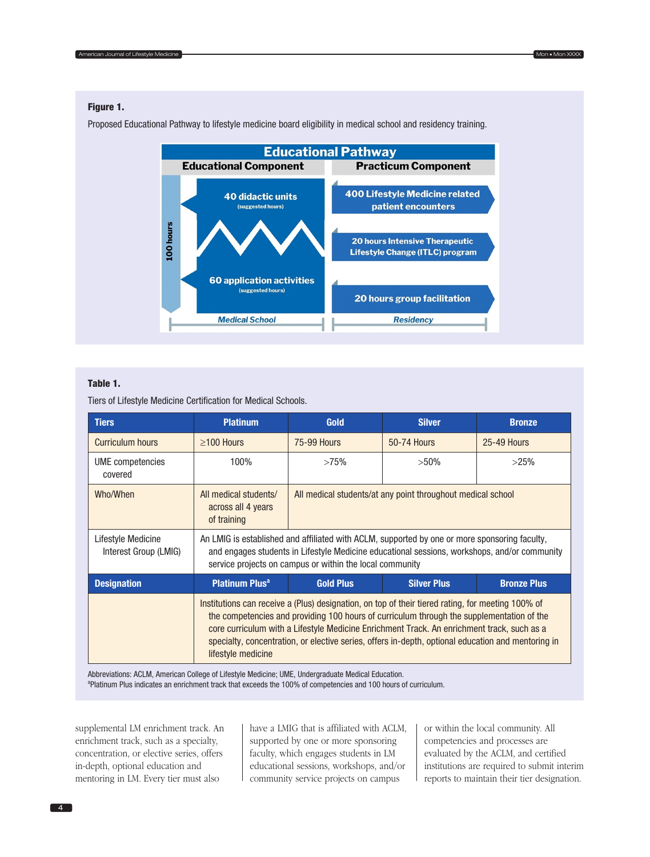#### Figure 1.

Proposed Educational Pathway to lifestyle medicine board eligibility in medical school and residency training.



#### Table 1.

Tiers of Lifestyle Medicine Certification for Medical Schools.

| <b>Tiers</b>                                | <b>Platinum</b>                                                                                                                                                                                                                                                                                                                                                                                                          | Gold                                                        | <b>Silver</b>      | <b>Bronze</b>      |
|---------------------------------------------|--------------------------------------------------------------------------------------------------------------------------------------------------------------------------------------------------------------------------------------------------------------------------------------------------------------------------------------------------------------------------------------------------------------------------|-------------------------------------------------------------|--------------------|--------------------|
| <b>Curriculum hours</b>                     | $\geq$ 100 Hours                                                                                                                                                                                                                                                                                                                                                                                                         | <b>75-99 Hours</b>                                          | <b>50-74 Hours</b> | <b>25-49 Hours</b> |
| UME competencies<br>covered                 | 100%                                                                                                                                                                                                                                                                                                                                                                                                                     | >75%                                                        | $>50\%$            | >25%               |
| Who/When                                    | All medical students/<br>across all 4 years<br>of training                                                                                                                                                                                                                                                                                                                                                               | All medical students/at any point throughout medical school |                    |                    |
| Lifestyle Medicine<br>Interest Group (LMIG) | An LMIG is established and affiliated with ACLM, supported by one or more sponsoring faculty,<br>and engages students in Lifestyle Medicine educational sessions, workshops, and/or community<br>service projects on campus or within the local community                                                                                                                                                                |                                                             |                    |                    |
| <b>Designation</b>                          | <b>Platinum Plus<sup>a</sup></b>                                                                                                                                                                                                                                                                                                                                                                                         | <b>Gold Plus</b>                                            | <b>Silver Plus</b> | <b>Bronze Plus</b> |
|                                             | Institutions can receive a (Plus) designation, on top of their tiered rating, for meeting 100% of<br>the competencies and providing 100 hours of curriculum through the supplementation of the<br>core curriculum with a Lifestyle Medicine Enrichment Track. An enrichment track, such as a<br>specialty, concentration, or elective series, offers in-depth, optional education and mentoring in<br>lifestyle medicine |                                                             |                    |                    |

Abbreviations: ACLM, American College of Lifestyle Medicine; UME, Undergraduate Medical Education. <sup>a</sup>Platinum Plus indicates an enrichment track that exceeds the 100% of competencies and 100 hours of curriculum.

supplemental LM enrichment track. An enrichment track, such as a specialty, concentration, or elective series, offers in-depth, optional education and mentoring in LM. Every tier must also

have a LMIG that is affiliated with ACLM, supported by one or more sponsoring faculty, which engages students in LM educational sessions, workshops, and/or community service projects on campus

or within the local community. All competencies and processes are evaluated by the ACLM, and certified institutions are required to submit interim reports to maintain their tier designation.